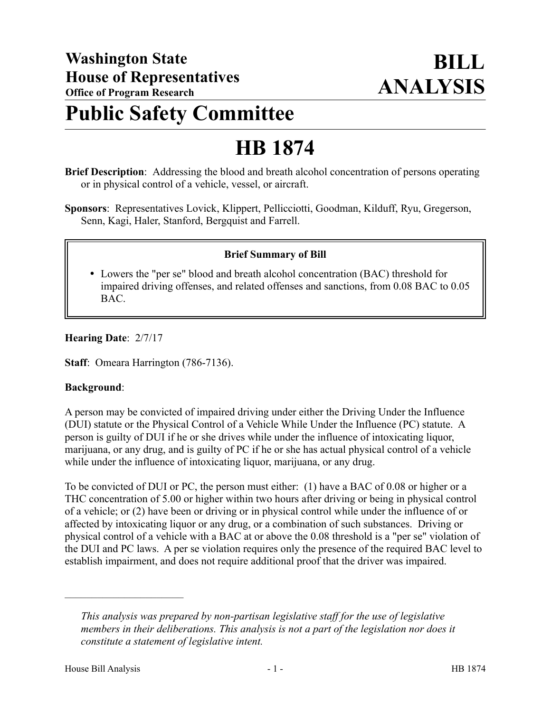## **Public Safety Committee**

# **HB 1874**

- **Brief Description**: Addressing the blood and breath alcohol concentration of persons operating or in physical control of a vehicle, vessel, or aircraft.
- **Sponsors**: Representatives Lovick, Klippert, Pellicciotti, Goodman, Kilduff, Ryu, Gregerson, Senn, Kagi, Haler, Stanford, Bergquist and Farrell.

### **Brief Summary of Bill**

 Lowers the "per se" blood and breath alcohol concentration (BAC) threshold for impaired driving offenses, and related offenses and sanctions, from 0.08 BAC to 0.05 BAC.

**Hearing Date**: 2/7/17

**Staff**: Omeara Harrington (786-7136).

#### **Background**:

A person may be convicted of impaired driving under either the Driving Under the Influence (DUI) statute or the Physical Control of a Vehicle While Under the Influence (PC) statute. A person is guilty of DUI if he or she drives while under the influence of intoxicating liquor, marijuana, or any drug, and is guilty of PC if he or she has actual physical control of a vehicle while under the influence of intoxicating liquor, marijuana, or any drug.

To be convicted of DUI or PC, the person must either: (1) have a BAC of 0.08 or higher or a THC concentration of 5.00 or higher within two hours after driving or being in physical control of a vehicle; or (2) have been or driving or in physical control while under the influence of or affected by intoxicating liquor or any drug, or a combination of such substances. Driving or physical control of a vehicle with a BAC at or above the 0.08 threshold is a "per se" violation of the DUI and PC laws. A per se violation requires only the presence of the required BAC level to establish impairment, and does not require additional proof that the driver was impaired.

––––––––––––––––––––––

*This analysis was prepared by non-partisan legislative staff for the use of legislative members in their deliberations. This analysis is not a part of the legislation nor does it constitute a statement of legislative intent.*